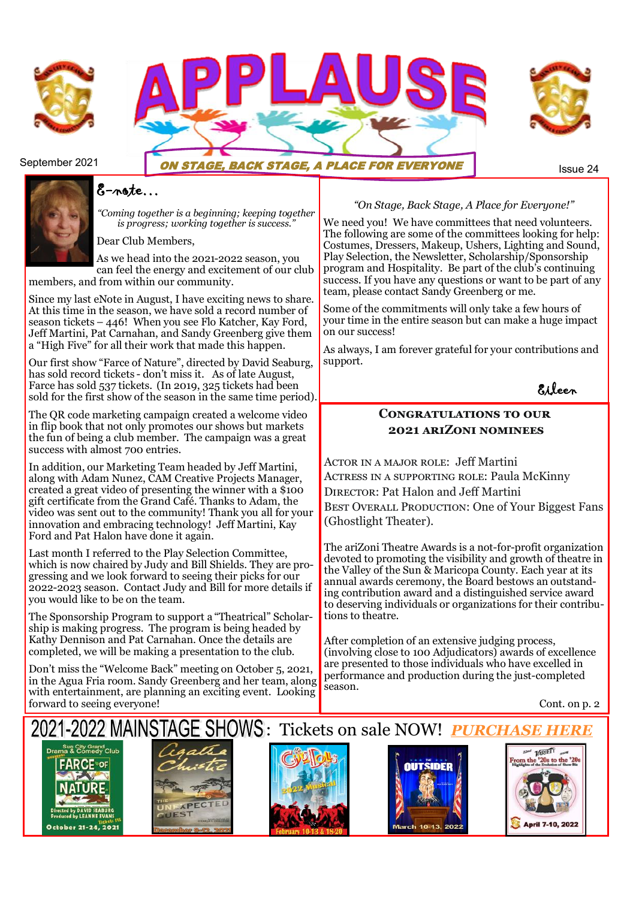





## September 2021 **ON STAGE, BACK STAGE, A PLACE FOR EVERYONE**

# E-note…

*"Coming together is a beginning; keeping together is progress; working together is success."*

Dear Club Members,

As we head into the 2021-2022 season, you can feel the energy and excitement of our club members, and from within our community.

Since my last eNote in August, I have exciting news to share. At this time in the season, we have sold a record number of season tickets – 446! When you see Flo Katcher, Kay Ford, Jeff Martini, Pat Carnahan, and Sandy Greenberg give them a "High Five" for all their work that made this happen.

Our first show "Farce of Nature", directed by David Seaburg, has sold record tickets - don't miss it. As of late August, Farce has sold 537 tickets. (In 2019, 325 tickets had been sold for the first show of the season in the same time period).

The QR code marketing campaign created a welcome video in flip book that not only promotes our shows but markets the fun of being a club member. The campaign was a great success with almost 700 entries.

In addition, our Marketing Team headed by Jeff Martini, along with Adam Nunez, CAM Creative Projects Manager, created a great video of presenting the winner with a \$100 gift certificate from the Grand Café. Thanks to Adam, the video was sent out to the community! Thank you all for your innovation and embracing technology! Jeff Martini, Kay Ford and Pat Halon have done it again.

Last month I referred to the Play Selection Committee, which is now chaired by Judy and Bill Shields. They are progressing and we look forward to seeing their picks for our 2022-2023 season. Contact Judy and Bill for more details if you would like to be on the team.

The Sponsorship Program to support a "Theatrical" Scholarship is making progress. The program is being headed by Kathy Dennison and Pat Carnahan. Once the details are completed, we will be making a presentation to the club.

Don't miss the "Welcome Back" meeting on October 5, 2021, in the Agua Fria room. Sandy Greenberg and her team, along with entertainment, are planning an exciting event. Looking forward to seeing everyone! Cont. on p. 2

#### *"On Stage, Back Stage, A Place for Everyone!"*

We need you! We have committees that need volunteers. The following are some of the committees looking for help: Costumes, Dressers, Makeup, Ushers, Lighting and Sound, Play Selection, the Newsletter, Scholarship/Sponsorship program and Hospitality. Be part of the club's continuing success. If you have any questions or want to be part of any team, please contact Sandy Greenberg or me.

Some of the commitments will only take a few hours of your time in the entire season but can make a huge impact on our success!

As always, I am forever grateful for your contributions and support.

Eileen

## **Congratulations to our 2021 ariZoni nominees**

ACTOR IN A MAJOR ROLE: Jeff Martini Actress in a supporting role: Paula McKinny DIRECTOR: Pat Halon and Jeff Martini BEST OVERALL PRODUCTION: One of Your Biggest Fans (Ghostlight Theater).

The ariZoni Theatre Awards is a not-for-profit organization devoted to promoting the visibility and growth of theatre in the Valley of the Sun & Maricopa County. Each year at its annual awards ceremony, the Board bestows an outstanding contribution award and a distinguished service award to deserving individuals or organizations for their contributions to theatre.

After completion of an extensive judging process, (involving close to 100 Adjudicators) awards of excellence are presented to those individuals who have excelled in performance and production during the just-completed season.

# -2022 MAINSTAGE SHOWS: Tickets on sale NOW! *[PURCHASE HERE](https://www.granddrama.com/tickets.html)*









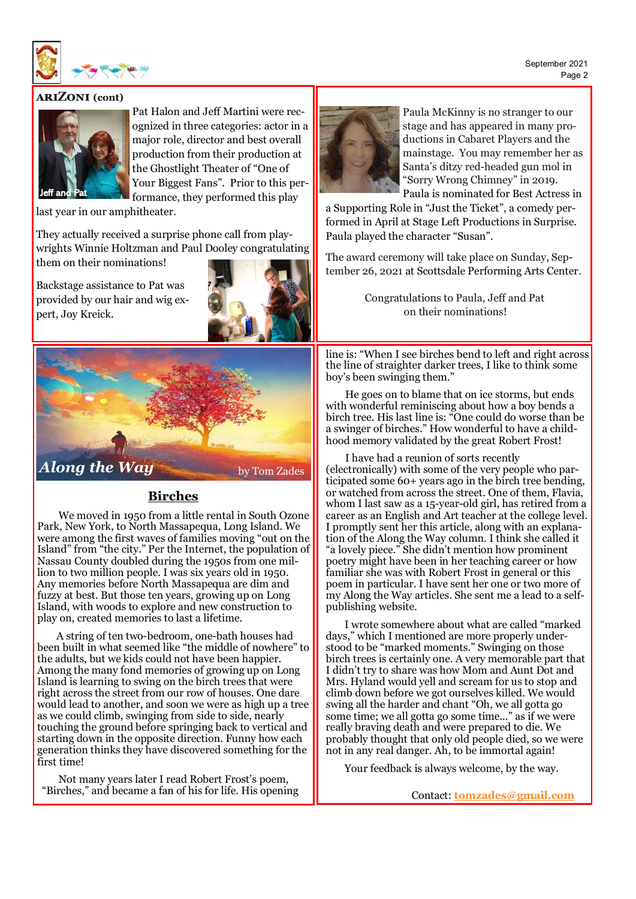September 2021 Page 2



#### **ariZoni (cont)**



Pat Halon and Jeff Martini were recognized in three categories: actor in a major role, director and best overall production from their production at the Ghostlight Theater of "One of Your Biggest Fans". Prior to this performance, they performed this play

last year in our amphitheater.

They actually received a surprise phone call from playwrights Winnie Holtzman and Paul Dooley congratulating them on their nominations!

Backstage assistance to Pat was provided by our hair and wig expert, Joy Kreick.





#### **Birches**

We moved in 1950 from a little rental in South Ozone Park, New York, to North Massapequa, Long Island. We were among the first waves of families moving "out on the Island" from "the city." Per the Internet, the population of Nassau County doubled during the 1950s from one million to two million people. I was six years old in 1950. Any memories before North Massapequa are dim and fuzzy at best. But those ten years, growing up on Long Island, with woods to explore and new construction to play on, created memories to last a lifetime.

A string of ten two-bedroom, one-bath houses had been built in what seemed like "the middle of nowhere" to the adults, but we kids could not have been happier. Among the many fond memories of growing up on Long Island is learning to swing on the birch trees that were right across the street from our row of houses. One dare would lead to another, and soon we were as high up a tree as we could climb, swinging from side to side, nearly touching the ground before springing back to vertical and starting down in the opposite direction. Funny how each generation thinks they have discovered something for the first time!

Not many years later I read Robert Frost's poem, "Birches," and became a fan of his for life. His opening



Paula McKinny is no stranger to our stage and has appeared in many productions in Cabaret Players and the mainstage. You may remember her as Santa's ditzy red-headed gun mol in "Sorry Wrong Chimney" in 2019. Paula is nominated for Best Actress in

a Supporting Role in "Just the Ticket", a comedy performed in April at Stage Left Productions in Surprise. Paula played the character "Susan".

The award ceremony will take place on Sunday, September 26, 2021 at Scottsdale Performing Arts Center.

> Congratulations to Paula, Jeff and Pat on their nominations!

line is: "When I see birches bend to left and right across the line of straighter darker trees, I like to think some boy's been swinging them."

He goes on to blame that on ice storms, but ends with wonderful reminiscing about how a boy bends a birch tree. His last line is: "One could do worse than be a swinger of birches." How wonderful to have a childhood memory validated by the great Robert Frost!

I have had a reunion of sorts recently (electronically) with some of the very people who participated some 60+ years ago in the birch tree bending, or watched from across the street. One of them, Flavia, whom I last saw as a 15-year-old girl, has retired from a career as an English and Art teacher at the college level. I promptly sent her this article, along with an explanation of the Along the Way column. I think she called it "a lovely piece." She didn't mention how prominent poetry might have been in her teaching career or how familiar she was with Robert Frost in general or this poem in particular. I have sent her one or two more of my Along the Way articles. She sent me a lead to a selfpublishing website.

I wrote somewhere about what are called "marked days," which I mentioned are more properly understood to be "marked moments." Swinging on those birch trees is certainly one. A very memorable part that I didn't try to share was how Mom and Aunt Dot and Mrs. Hyland would yell and scream for us to stop and climb down before we got ourselves killed. We would swing all the harder and chant "Oh, we all gotta go some time; we all gotta go some time..." as if we were really braving death and were prepared to die. We probably thought that only old people died, so we were not in any real danger. Ah, to be immortal again!

Your feedback is always welcome, by the way.

Contact: **[tomzades@gmail.com](mailto:tomzades@gmail.com)**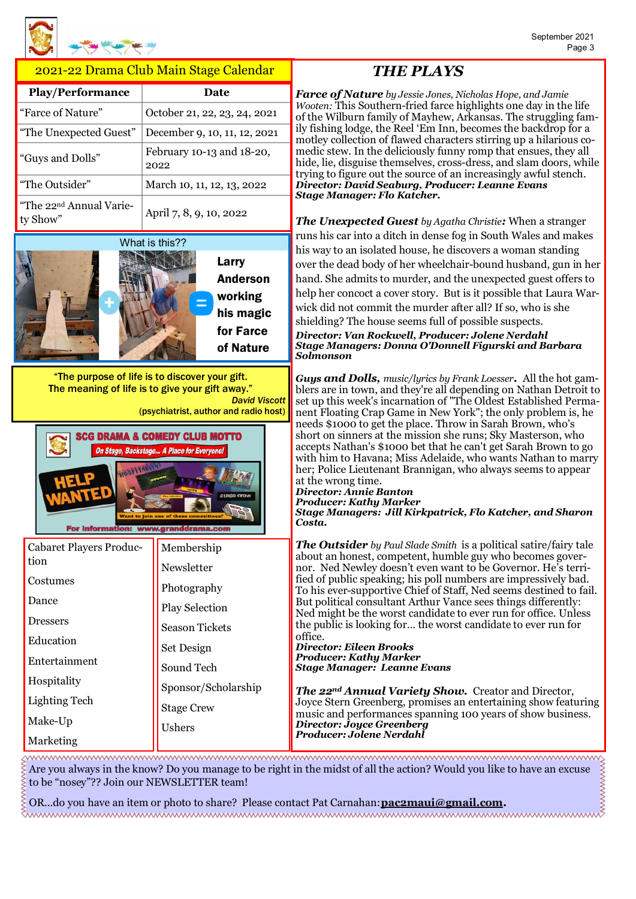#### 2021-22 Drama Club Main Stage Calendar

| <b>Play/Performance</b>                         | <b>Date</b>                       |
|-------------------------------------------------|-----------------------------------|
| "Farce of Nature"                               | October 21, 22, 23, 24, 2021      |
| "The Unexpected Guest"                          | December 9, 10, 11, 12, 2021      |
| "Guys and Dolls"                                | February 10-13 and 18-20,<br>2022 |
| "The Outsider"                                  | March 10, 11, 12, 13, 2022        |
| "The 22 <sup>nd</sup> Annual Varie-<br>ty Show" | April 7, 8, 9, 10, 2022           |



"The purpose of life is to discover your gift. The meaning of life is to give your gift away." *David Viscott*

(psychiatrist, author and radio host)



| Cabaret Players Produc- | Membership            |
|-------------------------|-----------------------|
| tion                    | Newsletter            |
| Costumes                | Photography           |
| Dance                   | <b>Play Selection</b> |
| <b>Dressers</b>         | <b>Season Tickets</b> |
| Education               | Set Design            |
| Entertainment           | Sound Tech            |
| Hospitality             | Sponsor/Scholarship   |
| Lighting Tech           | <b>Stage Crew</b>     |
| Make-Up                 | Ushers                |
| Marketing               |                       |

# *THE PLAYS*

*Farce of Nature by Jessie Jones, Nicholas Hope, and Jamie Wooten:* This Southern-fried farce highlights one day in the life of the Wilburn family of Mayhew, Arkansas. The struggling family fishing lodge, the Reel 'Em Inn, becomes the backdrop for a motley collection of flawed characters stirring up a hilarious comedic stew. In the deliciously funny romp that ensues, they all hide, lie, disguise themselves, cross-dress, and slam doors, while trying to figure out the source of an increasingly awful stench. *Director: David Seaburg, Producer: Leanne Evans Stage Manager: Flo Katcher.*

*The Unexpected Guest by Agatha Christie:* When a stranger runs his car into a ditch in dense fog in South Wales and makes his way to an isolated house, he discovers a woman standing over the dead body of her wheelchair-bound husband, gun in her hand. She admits to murder, and the unexpected guest offers to help her concoct a cover story. But is it possible that Laura Warwick did not commit the murder after all? If so, who is she shielding? The house seems full of possible suspects.

*Director: Van Rockwell, Producer: Jolene Nerdahl Stage Managers: Donna O'Donnell Figurski and Barbara Solmonson*

*Guys and Dolls, music/lyrics by Frank Loesser.* All the hot gamblers are in town, and they're all depending on Nathan Detroit to set up this week's incarnation of "The Oldest Established Permanent Floating Crap Game in New York"; the only problem is, he needs \$1000 to get the place. Throw in Sarah Brown, who's short on sinners at the mission she runs; Sky Masterson, who accepts Nathan's \$1000 bet that he can't get Sarah Brown to go with him to Havana; Miss Adelaide, who wants Nathan to marry her; Police Lieutenant Brannigan, who always seems to appear at the wrong time.

#### *Director: Annie Banton Producer: Kathy Marker Stage Managers: Jill Kirkpatrick, Flo Katcher, and Sharon*

*Costa.*

*The Outsider by Paul Slade Smith* is a political satire/fairy tale about an honest, competent, humble guy who becomes governor. Ned Newley doesn't even want to be Governor. He's terrified of public speaking; his poll numbers are impressively bad. To his ever-supportive Chief of Staff, Ned seems destined to fail. But political consultant Arthur Vance sees things differently: Ned might be the worst candidate to ever run for office. Unless the public is looking for… the worst candidate to ever run for office.

#### *Director: Eileen Brooks Producer: Kathy Marker Stage Manager: Leanne Evans*

*The 22nd Annual Variety Show.* Creator and Director, Joyce Stern Greenberg, promises an entertaining show featuring music and performances spanning 100 years of show business. *Director: Joyce Greenberg Producer: Jolene Nerdahl*

www.www.www.www.ww.ww.ww.ww.ww.ww.www.www.ww.ww.ww.ww.ww.ww Are you always in the know? Do you manage to be right in the midst of all the action? Would you like to have an excuse to be "nosey"?? Join our NEWSLETTER team!

OR...do you have an item or photo to share? Please contact Pat Carnahan: **[pac2maui@gmail.com.](mailto:pac2maui@gmail.com?subject=pac2maui@gmail.com)**